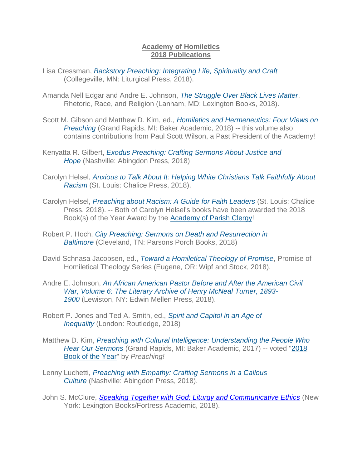## **Academy of Homiletics 2018 Publications**

- Lisa Cressman, *[Backstory Preaching: Integrating Life, Spirituality and Craft](https://www.backstorypreaching.com/books/)* (Collegeville, MN: Liturgical Press, 2018).
- Amanda Nell Edgar and Andre E. Johnson, *[The Struggle Over Black Lives Matter](https://www.amazon.com/Struggle-Black-Matter-Rhetoric-Religion/dp/1498572057)*, Rhetoric, Race, and Religion (Lanham, MD: Lexington Books, 2018).
- Scott M. Gibson and Matthew D. Kim, ed., *[Homiletics and Hermeneutics: Four Views on](https://www.amazon.com/Homiletics-Hermeneutics-Views-Preaching-Today/dp/0801098696/ref=sr_1_1?s=books&ie=UTF8&qid=1542749432&sr=1-1&keywords=homiletics+and+hermeneutics)  [Preaching](https://www.amazon.com/Homiletics-Hermeneutics-Views-Preaching-Today/dp/0801098696/ref=sr_1_1?s=books&ie=UTF8&qid=1542749432&sr=1-1&keywords=homiletics+and+hermeneutics)* (Grand Rapids, MI: Baker Academic, 2018) -- this volume also contains contributions from Paul Scott Wilson, a Past President of the Academy!
- Kenyatta R. Gilbert, *[Exodus Preaching: Crafting Sermons About Justice and](https://www.amazon.com/Preaching-Resistance-Voices-Justice-Solidarity/dp/0827231598/ref=sr_1_18_sspa?s=books&ie=UTF8&qid=1543936815&sr=1-18-spons&keywords=preaching&psc=1)  [Hope](https://www.amazon.com/Preaching-Resistance-Voices-Justice-Solidarity/dp/0827231598/ref=sr_1_18_sspa?s=books&ie=UTF8&qid=1543936815&sr=1-18-spons&keywords=preaching&psc=1)* (Nashville: Abingdon Press, 2018)
- Carolyn Helsel, *[Anxious to Talk About It: Helping White Christians Talk Faithfully About](https://www.chalicepress.com/Anxious)  [Racism](https://www.chalicepress.com/Anxious)* (St. Louis: Chalice Press, 2018).
- Carolyn Helsel, *[Preaching about Racism: A Guide for Faith Leaders](https://www.amazon.com/Preaching-about-Racism-Guide-Leaders/dp/0827231628/ref=sr_1_4?s=books&ie=UTF8&qid=1543936470&sr=1-4&keywords=carolyn+helsel)* (St. Louis: Chalice Press, 2018). -- Both of Carolyn Helsel's books have been awarded the 2018 Book(s) of the Year Award by the [Academy of Parish Clergy!](http://www.apclergy.org/)
- Robert P. Hoch, *[City Preaching: Sermons on Death and Resurrection in](https://www.amazon.com/City-Preaching-Robert-P-Hoch/dp/1946478954)  [Baltimore](https://www.amazon.com/City-Preaching-Robert-P-Hoch/dp/1946478954)* (Cleveland, TN: Parsons Porch Books, 2018)
- David Schnasa Jacobsen, ed., *[Toward a Homiletical](https://wipfandstock.com/toward-a-homiletical-theology-of-promise.html) Theology of Promise*, Promise of Homiletical Theology Series (Eugene, OR: Wipf and Stock, 2018).
- Andre E. Johnson, *[An African American Pastor Before and After the American Civil](https://mellenpress.com/book/An-African-American-Pastor-Before-and-After-the-American-Civil-War-Volume-6-The-Literary-Archive-of-Henry-McNeal-Turner-1893-1900/9461/)  [War, Volume 6: The Literary Archive of Henry McNeal](https://mellenpress.com/book/An-African-American-Pastor-Before-and-After-the-American-Civil-War-Volume-6-The-Literary-Archive-of-Henry-McNeal-Turner-1893-1900/9461/) Turner, 1893- [1900](https://mellenpress.com/book/An-African-American-Pastor-Before-and-After-the-American-Civil-War-Volume-6-The-Literary-Archive-of-Henry-McNeal-Turner-1893-1900/9461/)* (Lewiston, NY: Edwin Mellen Press, 2018).
- Robert P. Jones and Ted A. Smith, ed., *[Spirit and Capitol in an Age of](https://www.routledge.com/Spirit-and-Capital-in-an-Age-of-Inequality/Jones-Smith/p/book/9781138220232)  [Inequality](https://www.routledge.com/Spirit-and-Capital-in-an-Age-of-Inequality/Jones-Smith/p/book/9781138220232)* (London: Routledge, 2018)
- Matthew D. Kim, *[Preaching with Cultural Intelligence: Understanding the People Who](https://www.amazon.com/Preaching-Cultural-Intelligence-Understanding-Sermons/dp/0801049628/ref=sr_1_1?s=books&ie=UTF8&qid=1538758230&sr=1-1&keywords=preaching+with+cultural+intelligence&dpID=51Tx28efaEL&preST=_SY291_BO1,204,203,200_QL40_&dpSrc=srch)  [Hear Our Sermons](https://www.amazon.com/Preaching-Cultural-Intelligence-Understanding-Sermons/dp/0801049628/ref=sr_1_1?s=books&ie=UTF8&qid=1538758230&sr=1-1&keywords=preaching+with+cultural+intelligence&dpID=51Tx28efaEL&preST=_SY291_BO1,204,203,200_QL40_&dpSrc=srch)* (Grand Rapids, MI: Baker Academic, 2017) -- voted ["2018](https://preachingmagazine.org/pm_articles/preaching-book-2018/)  [Book of the Year"](https://preachingmagazine.org/pm_articles/preaching-book-2018/) by *Preaching!*
- Lenny Luchetti, *[Preaching with Empathy: Crafting Sermons in a Callous](https://www.amazon.com/Preaching-Empathy-Crafting-Sermons-Artistry/dp/1501841726)  [Culture](https://www.amazon.com/Preaching-Empathy-Crafting-Sermons-Artistry/dp/1501841726)* (Nashville: Abingdon Press, 2018).
- John S. McClure, *[Speaking Together with God: Liturgy and Communicative Ethics](https://www.amazon.com/Speaking-Together-God-Liturgy-Communicative-ebook/dp/B07BRNXP5J/ref=sr_1_1?keywords=Speaking+Together+and+With+God&qid=1552322797&s=books&sr=1-1-catcorr)* (New York: Lexington Books/Fortress Academic, 2018).